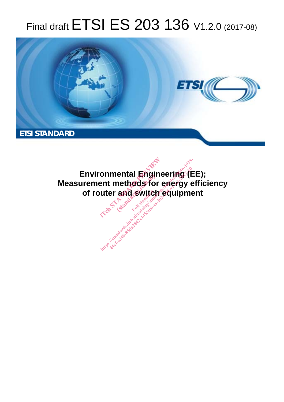# Final draft **ETSI ES 203 136** V1.2.0 (2017-08)



**Environmental Engineering (EE); Measurement methods for energy efficiency of router and switch equipment**  onmental Engineer<br>ent methods for engineer<br>uter and switch eq entar **Engir**<br>nethods for<br>and switch onmental Engineering (Elent methods for energy efter and switch equipments.<br>uter and switch equipments.<br>A standard switch equipments.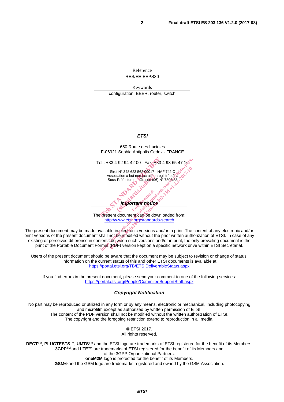Reference RES/EE-EEPS30

Keywords configuration, EEER, router, switch

#### *ETSI*



The present document can be downloaded from: http://www.etsi.org/standards-search

The present document may be made available in electronic versions and/or in print. The content of any electronic and/or print versions of the present document shall not be modified without the prior written authorization of ETSI. In case of any existing or perceived difference in contents between such versions and/or in print, the only prevailing document is the print of the Portable Document Format (PDF) version kept on a specific network drive within ETSI Secretariat.

Users of the present document should be aware that the document may be subject to revision or change of status. Information on the current status of this and other ETSI documents is available at https://portal.etsi.org/TB/ETSIDeliverableStatus.aspx

If you find errors in the present document, please send your comment to one of the following services: https://portal.etsi.org/People/CommiteeSupportStaff.aspx

#### *Copyright Notification*

No part may be reproduced or utilized in any form or by any means, electronic or mechanical, including photocopying and microfilm except as authorized by written permission of ETSI. The content of the PDF version shall not be modified without the written authorization of ETSI. The copyright and the foregoing restriction extend to reproduction in all media.

> © ETSI 2017. All rights reserved.

**DECT**TM, **PLUGTESTS**TM, **UMTS**TM and the ETSI logo are trademarks of ETSI registered for the benefit of its Members. **3GPP**TM and **LTE**™ are trademarks of ETSI registered for the benefit of its Members and of the 3GPP Organizational Partners. **oneM2M** logo is protected for the benefit of its Members.

**GSM**® and the GSM logo are trademarks registered and owned by the GSM Association.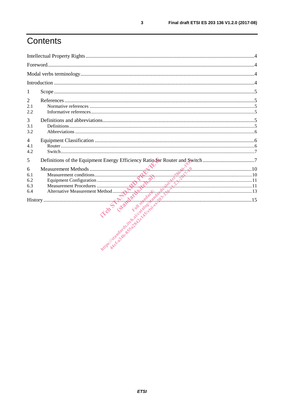# Contents

| 1                                                                                 |  |
|-----------------------------------------------------------------------------------|--|
| $\overline{2}$<br>2.1<br>2.2                                                      |  |
| 3<br>3.1<br>3.2                                                                   |  |
| 4<br>4.1<br>4.2                                                                   |  |
| Definitions of the Equipment Energy Efficiency Ratio for Router and Switch 7<br>5 |  |
| 6                                                                                 |  |
|                                                                                   |  |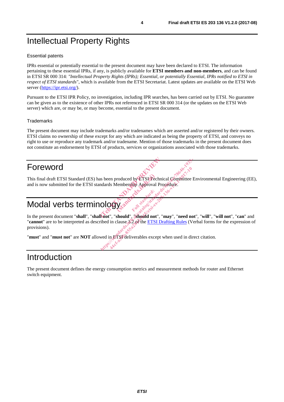# Intellectual Property Rights

#### Essential patents

IPRs essential or potentially essential to the present document may have been declared to ETSI. The information pertaining to these essential IPRs, if any, is publicly available for **ETSI members and non-members**, and can be found in ETSI SR 000 314: *"Intellectual Property Rights (IPRs); Essential, or potentially Essential, IPRs notified to ETSI in respect of ETSI standards"*, which is available from the ETSI Secretariat. Latest updates are available on the ETSI Web server (https://ipr.etsi.org/).

Pursuant to the ETSI IPR Policy, no investigation, including IPR searches, has been carried out by ETSI. No guarantee can be given as to the existence of other IPRs not referenced in ETSI SR 000 314 (or the updates on the ETSI Web server) which are, or may be, or may become, essential to the present document.

#### **Trademarks**

The present document may include trademarks and/or tradenames which are asserted and/or registered by their owners. ETSI claims no ownership of these except for any which are indicated as being the property of ETSI, and conveys no right to use or reproduce any trademark and/or tradename. Mention of those trademarks in the present document does not constitute an endorsement by ETSI of products, services or organizations associated with those trademarks.

# Foreword

This final draft ETSI Standard (ES) has been produced by ETSI Technical Committee Environmental Engineering (EE), and is now submitted for the ETSI standards Membership Approval Proceedure. and is now submitted for the ETSI standards Membership Approval Procedure. Is been produced by ETSI Pechnical Conducts Membership Approval Proceed

Ful standardi.d

# Modal verbs terminology

In the present document "**shall**", "**shall not**", "**should**", "**should not**", "**may**", "**need not**", "**will**", "**will not**", "**can**" and "**cannot**" are to be interpreted as described in clause 3.2 of the ETSI Drafting Rules (Verbal forms for the expression of provisions). ee Report of the Branch and the property of the Branch and the property of the state of the property of the state of the state of the state of the state of the state of the state of the state of the state of the state of t en produced by ETSI Technical Committee<br>ls Membership Approval Procedure:<br>Approval Procedure:<br>Approval Procedure:<br>And Contract Contract in the second of the ETSI Drafting Rules (V<br>n, ETSI deliverables except when used in d

"**must**" and "**must not**" are **NOT** allowed in ETSI deliverables except when used in direct citation.

# Introduction

The present document defines the energy consumption metrics and measurement methods for router and Ethernet switch equipment.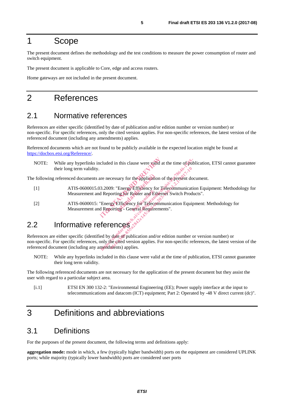## 1 Scope

The present document defines the methodology and the test conditions to measure the power consumption of router and switch equipment.

The present document is applicable to Core, edge and access routers.

Home gateways are not included in the present document.

## 2 References

#### 2.1 Normative references

References are either specific (identified by date of publication and/or edition number or version number) or non-specific. For specific references, only the cited version applies. For non-specific references, the latest version of the referenced document (including any amendments) applies.

Referenced documents which are not found to be publicly available in the expected location might be found at https://docbox.etsi.org/Reference/.

NOTE: While any hyperlinks included in this clause were valid at the time of publication, ETSI cannot guarantee their long term validity. included in this clause were valid at the<br>
are necessary for the application of the<br>
13.2009: "Energy Efficiency for Telecoted Reporting for Router and Ethernet S<br>
"Energy Efficiency for Telecommunic<br>
d Reporting - General

The following referenced documents are necessary for the application of the present document.

- [1] ATIS-0600015.03.2009: "Energy Efficiency for Telecommunication Equipment: Methodology for Measurement and Reporting for Router and Ethernet Switch Products". Sary for the application<br>
"Energy Efficiency for<br>
ing for Router and Eth<br>
Efficiency for Telecon<br>
ing - General Regnirer
- [2] ATIS-0600015: "Energy Efficiency for Telecommunication Equipment: Methodology for Measurement and Reporting - General Requirements".

## 2.2 Informative references

References are either specific (identified by date of publication and/or edition number or version number) or non-specific. For specific references, only the cited version applies. For non-specific references, the latest version of the referenced document (including any amendments) applies. de the methods. The propriet of the application of the present doctor of the present doctor of the present doctor of the present doctor of the propriation of the present doctor of the propriation of the propriation of the Example The application of the present doorting for Router and Ethernet Switch Proder conting for Router and Ethernet Switch Proder Switch Proder Conting - General Regulirements".<br>
Solution Conting - General Regulirements"

NOTE: While any hyperlinks included in this clause were valid at the time of publication, ETSI cannot guarantee their long term validity.

The following referenced documents are not necessary for the application of the present document but they assist the user with regard to a particular subject area.

[i.1] ETSI EN 300 132-2: "Environmental Engineering (EE); Power supply interface at the input to telecommunications and datacom (ICT) equipment; Part 2: Operated by -48 V direct current (dc)".

## 3 Definitions and abbreviations

#### 3.1 Definitions

For the purposes of the present document, the following terms and definitions apply:

**aggregation mode:** mode in which, a few (typically higher bandwidth) ports on the equipment are considered UPLINK ports; while majority (typically lower bandwidth) ports are considered user ports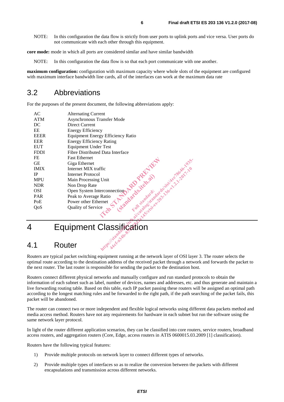NOTE: In this configuration the data flow is strictly from user ports to uplink ports and vice versa. User ports do not communicate with each other through this equipment.

**core mode:** mode in which all ports are considered similar and have similar bandwidth

NOTE: In this configuration the data flow is so that each port communicate with one another.

**maximum configuration:** configuration with maximum capacity where whole slots of the equipment are configured with maximum interface bandwidth line cards, all of the interfaces can work at the maximum data rate

#### 3.2 Abbreviations

For the purposes of the present document, the following abbreviations apply:

|             | Withs: 15 radarys<br>Router                                                                                                                                                                                 |
|-------------|-------------------------------------------------------------------------------------------------------------------------------------------------------------------------------------------------------------|
|             | <b>Equipment Classification</b>                                                                                                                                                                             |
|             | il catalogistantario-136-12, 120-12, 120-2<br>Lessing Unit<br>Non Drop Rate<br>Open System Interconnection<br>Peak to Average Ratio<br>Year of Service<br>vality of Service<br>edges of the Line of Service |
| QoS         |                                                                                                                                                                                                             |
| PoE         |                                                                                                                                                                                                             |
| <b>PAR</b>  |                                                                                                                                                                                                             |
| <b>OSI</b>  |                                                                                                                                                                                                             |
| <b>NDR</b>  |                                                                                                                                                                                                             |
| <b>MPU</b>  |                                                                                                                                                                                                             |
| IP          |                                                                                                                                                                                                             |
| <b>IMIX</b> |                                                                                                                                                                                                             |
| <b>GE</b>   | Giga Ethernet                                                                                                                                                                                               |
| FE          | <b>Fast Ethernet</b>                                                                                                                                                                                        |
| <b>FDDI</b> | Fibre Distributed Data Interface                                                                                                                                                                            |
| <b>EUT</b>  | Equipment Under Test                                                                                                                                                                                        |
| <b>EER</b>  | <b>Energy Efficiency Rating</b>                                                                                                                                                                             |
| <b>EEER</b> | Equipment Energy Efficiency Ratio                                                                                                                                                                           |
| EE          | <b>Energy Efficiency</b>                                                                                                                                                                                    |
| DC          | Direct Current                                                                                                                                                                                              |
| <b>ATM</b>  | Asynchronous Transfer Mode                                                                                                                                                                                  |
| AC          | <b>Alternating Current</b>                                                                                                                                                                                  |

4 Equipment Classification

### 4.1 Router

Routers are typical packet switching equipment running at the network layer of OSI layer 3. The router selects the optimal route according to the destination address of the received packet through a network and forwards the packet to the next router. The last router is responsible for sending the packet to the destination host.

Routers connect different physical networks and manually configure and run standard protocols to obtain the information of each subnet such as label, number of devices, names and addresses, etc. and thus generate and maintain a live forwarding routing table. Based on this table, each IP packet passing these routers will be assigned an optimal path according to the longest matching rules and be forwarded to the right path, if the path searching of the packet fails, this packet will be abandoned.

The router can connect two or more independent and flexible logical networks using different data packets method and media access method. Routers have not any requirements for hardware in each subnet but run the software using the same network layer protocol.

In light of the router different application scenarios, they can be classified into core routers, service routers, broadband access routers, and aggregation routers (Core, Edge, access routers in ATIS 0600015.03.2009 [1] classification).

Routers have the following typical features:

- 1) Provide multiple protocols on network layer to connect different types of networks.
- 2) Provide multiple types of interfaces so as to realize the conversion between the packets with different encapsulations and transmission across different networks.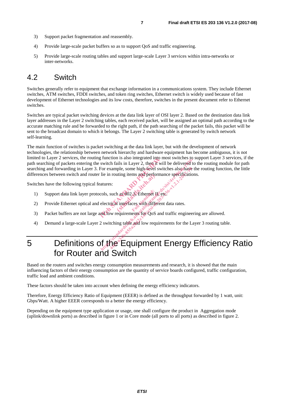- 3) Support packet fragmentation and reassembly.
- 4) Provide large-scale packet buffers so as to support QoS and traffic engineering.
- 5) Provide large-scale routing tables and support large-scale Layer 3 services within intra-networks or inter-networks.

#### 4.2 Switch

Switches generally refer to equipment that exchange information in a communications system. They include Ethernet switches, ATM switches, FDDI switches, and token ring switches, Ethernet switch is widely used because of fast development of Ethernet technologies and its low costs, therefore, switches in the present document refer to Ethernet switches.

Switches are typical packet switching devices at the data link layer of OSI layer 2. Based on the destination data link layer addresses in the Layer 2 switching tables, each received packet, will be assigned an optimal path according to the accurate matching rule and be forwarded to the right path, if the path searching of the packet fails, this packet will be sent to the broadcast domain to which it belongs. The Layer 2 switching table is generated by switch network self-learning.

The main function of switches is packet switching at the data link layer, but with the development of network technologies, the relationship between network hierarchy and hardware equipment has become ambiguous, it is not limited to Layer 2 services, the routing function is also integrated into most switches to support Layer 3 services, if the path searching of packets entering the switch fails in Layer 2, then it will be delivered to the routing module for path searching and forwarding in Layer 3. For example, some high-level switches also have the routing function, the little differences between switch and router lie in routing items and performance specifications.<br>Switches have the following typical features: is the method is also integrated into most<br>switch fails in Layer 2, then it will be<br>For example, some high-level switche<br>lie in routing items and performance<br>tatures:<br>cols, such as 802.3 Ethernet IR etc.<br>electrical interfa For the catalogy of the catalogy of the catalogy of the catalogy of the catalogy of the catalogy of the catalogy of the catalogy of the catalogy of the catalogy of the catalogy of the catalogy of the catalogy of the catalo

Switches have the following typical features:

- 1) Support data link layer protocols, such as 802.3, Ethernet II, etc. the standard perform<br>
h as 802.3 Ethernet in
- 2) Provide Ethernet optical and electrical interfaces with different data rates.
- 3) Packet buffers are not large and low requirements for QoS and traffic engineering are allowed.
- 4) Demand a large-scale Layer 2 switching table and low requirements for the Layer 3 routing table.

# 5 Definitions of the Equipment Energy Efficiency Ratio for Router and Switch

Based on the routers and switches energy consumption measurements and research, it is showed that the main influencing factors of their energy consumption are the quantity of service boards configured, traffic configuration, traffic load and ambient conditions.

These factors should be taken into account when defining the energy efficiency indicators.

Therefore, Energy Efficiency Ratio of Equipment (EEER) is defined as the throughput forwarded by 1 watt, unit: Gbps/Watt. A higher EEER corresponds to a better the energy efficiency.

Depending on the equipment type application or usage, one shall configure the product in Aggregation mode (uplink/downlink ports) as described in figure 1 or in Core mode (all ports to all ports) as described in figure 2.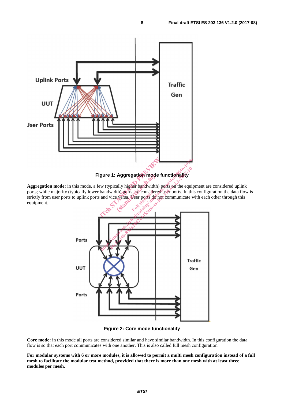

**Aggregation mode:** in this mode, a few (typically higher bandwidth) ports on the equipment are considered uplink ports; while majority (typically lower bandwidth) ports are considered user ports. In this configuration the data flow is strictly from user ports to uplink ports and vice versa. User ports do not communicate with each other through this equipment. Aggregation mode<br>ally higher bandwidth)<br>th) ports are considered<br>experience ports do reflections. **are considers** 



**Figure 2: Core mode functionality** 

**Core mode:** in this mode all ports are considered similar and have similar bandwidth. In this configuration the data flow is so that each port communicates with one another. This is also called full mesh configuration.

**For modular systems with 6 or more modules, it is allowed to permit a multi mesh configuration instead of a full mesh to facilitate the modular test method, provided that there is more than one mesh with at least three modules per mesh.**